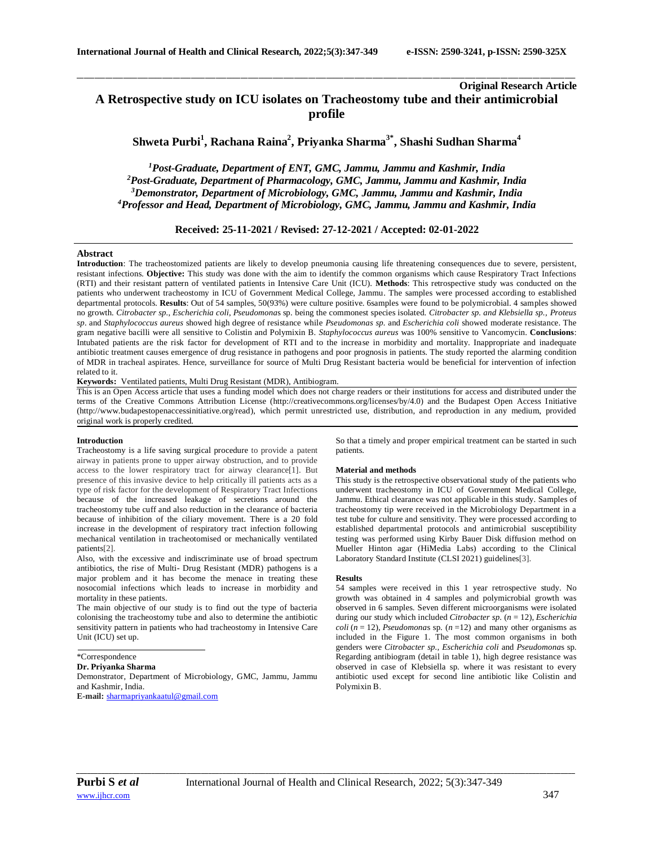# **Original Research Article A Retrospective study on ICU isolates on Tracheostomy tube and their antimicrobial profile**

**Shweta Purbi<sup>1</sup> , Rachana Raina<sup>2</sup> , Priyanka Sharma3\* , Shashi Sudhan Sharma<sup>4</sup>**

\_\_\_\_\_\_\_\_\_\_\_\_\_\_\_\_\_\_\_\_\_\_\_\_\_\_\_\_\_\_\_\_\_\_\_\_\_\_\_\_\_\_\_\_\_\_\_\_\_\_\_\_\_\_\_\_\_\_\_\_\_\_\_\_\_\_\_\_\_\_\_\_\_\_\_\_\_\_\_\_\_\_\_\_\_\_\_\_\_\_\_\_\_\_\_\_\_\_\_\_\_\_\_\_\_\_\_\_\_\_\_\_\_\_\_\_\_\_\_\_\_\_\_\_\_\_\_\_\_\_\_\_\_\_\_\_\_\_\_\_

*Post-Graduate, Department of ENT, GMC, Jammu, Jammu and Kashmir, India Post-Graduate, Department of Pharmacology, GMC, Jammu, Jammu and Kashmir, India Demonstrator, Department of Microbiology, GMC, Jammu, Jammu and Kashmir, India Professor and Head, Department of Microbiology, GMC, Jammu, Jammu and Kashmir, India*

**Received: 25-11-2021 / Revised: 27-12-2021 / Accepted: 02-01-2022**

## **Abstract**

**Introduction**: The tracheostomized patients are likely to develop pneumonia causing life threatening consequences due to severe, persistent, resistant infections. **Objective:** This study was done with the aim to identify the common organisms which cause Respiratory Tract Infections (RTI) and their resistant pattern of ventilated patients in Intensive Care Unit (ICU). **Methods**: This retrospective study was conducted on the patients who underwent tracheostomy in ICU of Government Medical College, Jammu. The samples were processed according to established departmental protocols. **Results**: Out of 54 samples, 50(93%) were culture positive. 6samples were found to be polymicrobial. 4 samples showed no growth. *Citrobacter sp.*, *Escherichia coli*, *Pseudomona*s sp. being the commonest species isolated. *Citrobacter sp. and Klebsiella sp., Proteus sp*. and *Staphylococcus aureus* showed high degree of resistance while *Pseudomonas sp.* and *Escherichia coli* showed moderate resistance. The gram negative bacilli were all sensitive to Colistin and Polymixin B. *Staphylococcus aureus* was 100% sensitive to Vancomycin. **Conclusions**: Intubated patients are the risk factor for development of RTI and to the increase in morbidity and mortality. Inappropriate and inadequate antibiotic treatment causes emergence of drug resistance in pathogens and poor prognosis in patients. The study reported the alarming condition of MDR in tracheal aspirates. Hence, surveillance for source of Multi Drug Resistant bacteria would be beneficial for intervention of infection related to it.

**Keywords:** Ventilated patients, Multi Drug Resistant (MDR), Antibiogram.

This is an Open Access article that uses a funding model which does not charge readers or their institutions for access and distributed under the terms of the Creative Commons Attribution License (http://creativecommons.org/licenses/by/4.0) and the Budapest Open Access Initiative (http://www.budapestopenaccessinitiative.org/read), which permit unrestricted use, distribution, and reproduction in any medium, provided original work is properly credited.

## **Introduction**

Tracheostomy is a life saving surgical procedure to provide a patent airway in patients prone to upper airway obstruction, and to provide access to the lower respiratory tract for airway clearance[1]. But presence of this invasive device to help critically ill patients acts as a type of risk factor for the development of Respiratory Tract Infections because of the increased leakage of secretions around the tracheostomy tube cuff and also reduction in the clearance of bacteria because of inhibition of the ciliary movement. There is a 20 fold increase in the development of respiratory tract infection following mechanical ventilation in tracheotomised or mechanically ventilated patients[2].

Also, with the excessive and indiscriminate use of broad spectrum antibiotics, the rise of Multi- Drug Resistant (MDR) pathogens is a major problem and it has become the menace in treating these nosocomial infections which leads to increase in morbidity and mortality in these patients.

The main objective of our study is to find out the type of bacteria colonising the tracheostomy tube and also to determine the antibiotic sensitivity pattern in patients who had tracheostomy in Intensive Care Unit (ICU) set up.

#### \*Correspondence

**Dr. Priyanka Sharma**

Demonstrator, Department of Microbiology, GMC, Jammu, Jammu and Kashmir, India.

**E-mail:** [sharmapriyankaatul@gmail.com](mailto:sharmapriyankaatul@gmail.com)

So that a timely and proper empirical treatment can be started in such patients.

#### **Material and methods**

This study is the retrospective observational study of the patients who underwent tracheostomy in ICU of Government Medical College, Jammu. Ethical clearance was not applicable in this study. Samples of tracheostomy tip were received in the Microbiology Department in a test tube for culture and sensitivity. They were processed according to established departmental protocols and antimicrobial susceptibility testing was performed using Kirby Bauer Disk diffusion method on Mueller Hinton agar (HiMedia Labs) according to the Clinical Laboratory Standard Institute (CLSI 2021) guidelines[3].

#### **Results**

54 samples were received in this 1 year retrospective study. No growth was obtained in 4 samples and polymicrobial growth was observed in 6 samples. Seven different microorganisms were isolated during our study which included *Citrobacter sp.* (*n* = 12), *Escherichia coli* ( $n = 12$ ), *Pseudomonas* sp. ( $n = 12$ ) and many other organisms as included in the Figure 1. The most common organisms in both genders were *Citrobacter sp., Escherichia coli* and *Pseudomona*s sp. Regarding antibiogram (detail in table 1), high degree resistance was observed in case of Klebsiella sp. where it was resistant to every antibiotic used except for second line antibiotic like Colistin and Polymixin B.

*\_\_\_\_\_\_\_\_\_\_\_\_\_\_\_\_\_\_\_\_\_\_\_\_\_\_\_\_\_\_\_\_\_\_\_\_\_\_\_\_\_\_\_\_\_\_\_\_\_\_\_\_\_\_\_\_\_\_\_\_\_\_\_\_\_\_\_\_\_\_\_\_\_\_\_\_\_\_\_\_\_\_\_\_\_\_\_\_\_\_\_\_\_\_\_\_\_\_\_\_\_\_\_\_\_\_\_\_\_\_\_\_\_\_\_\_\_\_\_\_\_\_\_\_\_\_\_\_\_\_\_\_\_\_\_\_\_\_\_\_*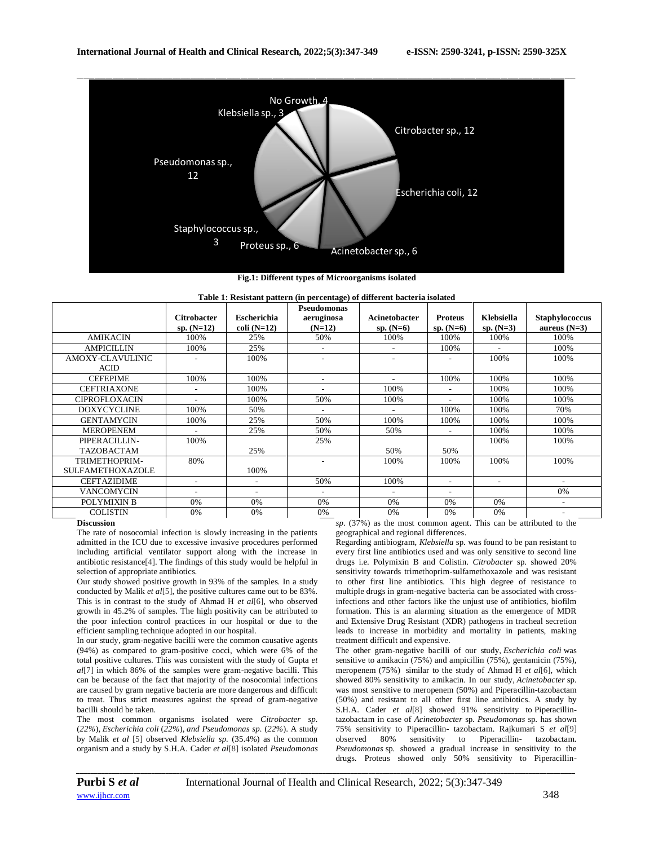

**Fig.1: Different types of Microorganisms isolated**

| Table 1: Resistant pattern (in percentage) of different bacteria isolated |  |  |
|---------------------------------------------------------------------------|--|--|
|                                                                           |  |  |

|                                 | <b>Citrobacter</b><br>sp. $(N=12)$ | <b>Escherichia</b><br>$\text{coli}$ (N=12) | Pseudomonas<br>aeruginosa<br>$(N=12)$ | Acinetobacter<br>$sp. (N=6)$ | <b>Proteus</b><br>$sp. (N=6)$ | Klebsiella<br>$sp. (N=3)$ | Staphylococcus<br>aureus $(N=3)$ |
|---------------------------------|------------------------------------|--------------------------------------------|---------------------------------------|------------------------------|-------------------------------|---------------------------|----------------------------------|
| <b>AMIKACIN</b>                 | 100%                               | 25%                                        | 50%                                   | 100%                         | 100%                          | 100%                      | 100%                             |
| <b>AMPICILLIN</b>               | 100%                               | 25%                                        | $\overline{\phantom{a}}$              | $\overline{\phantom{a}}$     | 100%                          | $\sim$                    | 100%                             |
| AMOXY-CLAVULINIC<br><b>ACID</b> |                                    | 100%                                       |                                       | ٠                            |                               | 100%                      | 100%                             |
| <b>CEFEPIME</b>                 | 100%                               | 100%                                       | ٠                                     | ٠                            | 100%                          | 100%                      | 100%                             |
| <b>CEFTRIAXONE</b>              |                                    | 100%                                       | ۰                                     | 100%                         | ÷                             | 100%                      | 100%                             |
| <b>CIPROFLOXACIN</b>            |                                    | 100%                                       | 50%                                   | 100%                         | $\overline{a}$                | 100%                      | 100%                             |
| <b>DOXYCYCLINE</b>              | 100%                               | 50%                                        | ٠                                     | $\overline{\phantom{a}}$     | 100%                          | 100%                      | 70%                              |
| <b>GENTAMYCIN</b>               | 100%                               | 25%                                        | 50%                                   | 100%                         | 100%                          | 100%                      | 100%                             |
| <b>MEROPENEM</b>                |                                    | 25%                                        | 50%                                   | 50%                          | $\overline{\phantom{a}}$      | 100%                      | 100%                             |
| PIPERACILLIN-                   | 100%                               |                                            | 25%                                   |                              |                               | 100%                      | 100%                             |
| <b>TAZOBACTAM</b>               |                                    | 25%                                        |                                       | 50%                          | 50%                           |                           |                                  |
| TRIMETHOPRIM-                   | 80%                                |                                            |                                       | 100%                         | 100%                          | 100%                      | 100%                             |
| <b>SULFAMETHOXAZOLE</b>         |                                    | 100%                                       |                                       |                              |                               |                           |                                  |
| <b>CEFTAZIDIME</b>              |                                    |                                            | 50%                                   | 100%                         | $\sim$                        | $\overline{\phantom{a}}$  |                                  |
| <b>VANCOMYCIN</b>               |                                    | ۰.                                         | ۰                                     | ٠                            | ٠                             |                           | 0%                               |
| POLYMIXIN B                     | 0%                                 | 0%                                         | $0\%$                                 | 0%                           | 0%                            | $0\%$                     | $\overline{\phantom{a}}$         |
| <b>COLISTIN</b>                 | 0%                                 | 0%                                         | 0%                                    | 0%                           | 0%                            | 0%<br>$-1$                | $\sim$ $\sim$                    |

#### **Discussion**

The rate of nosocomial infection is slowly increasing in the patients admitted in the ICU due to excessive invasive procedures performed including artificial ventilator support along with the increase in antibiotic resistance[4]. The findings of this study would be helpful in selection of appropriate antibiotics.

Our study showed positive growth in 93% of the samples. In a study conducted by Malik *et al*[5], the positive cultures came out to be 83%. This is in contrast to the study of Ahmad H *et al*[6], who observed growth in 45.2% of samples. The high positivity can be attributed to the poor infection control practices in our hospital or due to the efficient sampling technique adopted in our hospital.

In our study, gram-negative bacilli were the common causative agents (94%) as compared to gram-positive cocci, which were 6% of the total positive cultures. This was consistent with the study of Gupta *et al*[7] in which 86% of the samples were gram-negative bacilli. This can be because of the fact that majority of the nosocomial infections are caused by gram negative bacteria are more dangerous and difficult to treat. Thus strict measures against the spread of gram-negative bacilli should be taken.

The most common organisms isolated were *Citrobacter sp.*  (*22%*), *Escherichia coli* (*22%*), *and Pseudomonas sp.* (*22%*). A study by Malik *et al* [5] observed *Klebsiella sp.* (35.4%) as the common organism and a study by S.H.A. Cader *et al*[8] isolated *Pseudomonas*  *sp.* (37%) as the most common agent. This can be attributed to the geographical and regional differences.

Regarding antibiogram, *Klebsiella* sp. was found to be pan resistant to every first line antibiotics used and was only sensitive to second line drugs i.e. Polymixin B and Colistin. *Citrobacter* sp. showed 20% sensitivity towards trimethoprim-sulfamethoxazole and was resistant to other first line antibiotics. This high degree of resistance to multiple drugs in gram-negative bacteria can be associated with crossinfections and other factors like the unjust use of antibiotics, biofilm formation. This is an alarming situation as the emergence of MDR and Extensive Drug Resistant (XDR) pathogens in tracheal secretion leads to increase in morbidity and mortality in patients, making treatment difficult and expensive.

The other gram-negative bacilli of our study, *Escherichia coli* was sensitive to amikacin (75%) and ampicillin (75%), gentamicin (75%), meropenem (75%) similar to the study of Ahmad H *et al*[6], which showed 80% sensitivity to amikacin. In our study, *Acinetobacter* sp. was most sensitive to meropenem (50%) and Piperacillin-tazobactam (50%) and resistant to all other first line antibiotics. A study by S.H.A. Cader *et al*[8] showed 91% sensitivity to Piperacillintazobactam in case of *Acinetobacter* sp. *Pseudomonas* sp. has shown 75% sensitivity to Piperacillin- tazobactam. Rajkumari S *et al*[9] observed 80% sensitivity to Piperacillin- tazobactam. *Pseudomonas* sp. showed a gradual increase in sensitivity to the drugs. Proteus showed only 50% sensitivity to Piperacillin-

*\_\_\_\_\_\_\_\_\_\_\_\_\_\_\_\_\_\_\_\_\_\_\_\_\_\_\_\_\_\_\_\_\_\_\_\_\_\_\_\_\_\_\_\_\_\_\_\_\_\_\_\_\_\_\_\_\_\_\_\_\_\_\_\_\_\_\_\_\_\_\_\_\_\_\_\_\_\_\_\_\_\_\_\_\_\_\_\_\_\_\_\_\_\_\_\_\_\_\_\_\_\_\_\_\_\_\_\_\_\_\_\_\_\_\_\_\_\_\_\_\_\_\_\_\_\_\_\_\_\_\_\_\_\_\_\_\_\_\_\_*